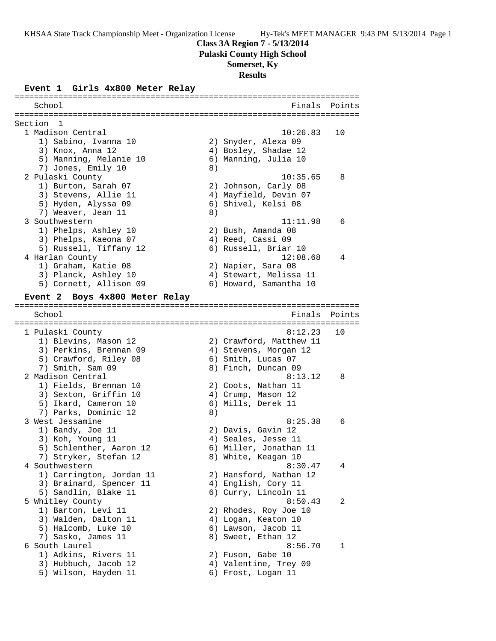**Class 3A Region 7 - 5/13/2014**

**Pulaski County High School**

## **Somerset, Ky**

**Results**

### **Event 1 Girls 4x800 Meter Relay**

======================================================================= School **Finals** Points ======================================================================= Section 1<br>1 Madison Central 1 Madison Central 10:26.83 10 1) Sabino, Ivanna 10 2) Snyder, Alexa 09 3) Knox, Anna 12 12 12 12 12 13 13 14 13 14 13 14 14 14 14 14 14 14 14 14 14 15 16 17 17 18 18 18 18 18 18 18 1 5) Manning, Melanie 10 6) Manning, Julia 10 7) Jones, Emily 10 (8) 2 Pulaski County 10:35.65 8 1) Burton, Sarah 07 2) Johnson, Carly 08 3) Stevens, Allie 11 4) Mayfield, Devin 07 5) Hyden, Alyssa 09 6) Shivel, Kelsi 08 7) Weaver, Jean 11 8) 3 Southwestern 11:11.98 6 1) Phelps, Ashley 10 2) Bush, Amanda 08 3) Phelps, Kaeona 07 (4) Reed, Cassi 09 5) Russell, Tiffany 12 6) Russell, Briar 10 4 Harlan County 12:08.68 4 1) Graham, Katie 08 2) Napier, Sara 08 3) Planck, Ashley 10 4) Stewart, Melissa 11 5) Cornett, Allison 09 6) Howard, Samantha 10 **Event 2 Boys 4x800 Meter Relay** ======================================================================= School **Finals** Points ======================================================================= 1 Pulaski County 8:12.23 10 1) Blevins, Mason 12 2) Crawford, Matthew 11 3) Perkins, Brennan 09 4) Stevens, Morgan 12 5) Crawford, Riley 08 6) Smith, Lucas 07 7) Smith, Sam 09 8) Finch, Duncan 09 2 Madison Central 8:13.12 8 1) Fields, Brennan 10 2) Coots, Nathan 11 3) Sexton, Griffin 10  $\hskip1cm$  4) Crump, Mason 12 5) Ikard, Cameron 10 (6) Mills, Derek 11 7) Parks, Dominic 12 (8) 3 West Jessamine 8:25.38 6 1) Bandy, Joe 11 2) Davis, Gavin 12 3) Koh, Young 11 (a) 4) Seales, Jesse 11 5) Schlenther, Aaron 12 6) Miller, Jonathan 11 7) Stryker, Stefan 12 and 8) White, Keagan 10 4 Southwestern 8:30.47 4 1) Carrington, Jordan 11 2) Hansford, Nathan 12 3) Brainard, Spencer 11 (4) English, Cory 11 5) Sandlin, Blake 11 (6) Curry, Lincoln 11 5 Whitley County 8:50.43 2 1) Barton, Levi 11 2) Rhodes, Roy Joe 10 3) Walden, Dalton 11 (4) Logan, Keaton 10 5) Halcomb, Luke 10 6) Lawson, Jacob 11 7) Sasko, James 11 8) Sweet, Ethan 12 6 South Laurel 8:56.70 1 1) Adkins, Rivers 11 2) Fuson, Gabe 10 3) Hubbuch, Jacob 12 4) Valentine, Trey 09 5) Wilson, Hayden 11 (6) Frost, Logan 11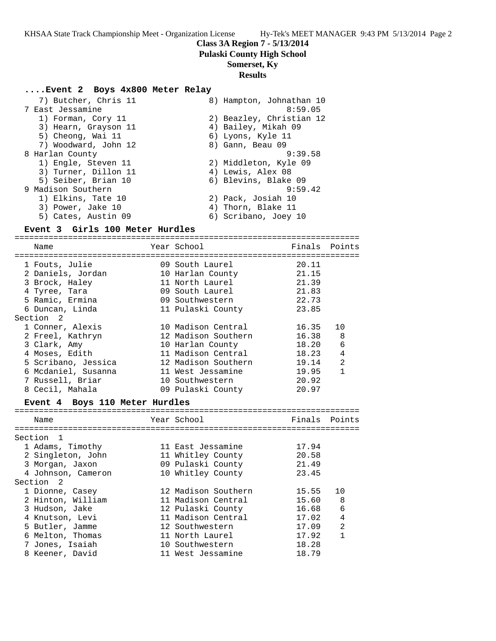**Pulaski County High School**

### **Somerset, Ky**

#### **Results**

#### **....Event 2 Boys 4x800 Meter Relay**

| 7) Butcher, Chris 11 | 8) Hampton, Johnathan 10 |
|----------------------|--------------------------|
| 7 East Jessamine     | 8:59.05                  |
| 1) Forman, Cory 11   | 2) Beazley, Christian 12 |
| 3) Hearn, Grayson 11 | 4) Bailey, Mikah 09      |
| 5) Cheong, Wai 11    | 6) Lyons, Kyle 11        |
| 7) Woodward, John 12 | 8) Gann, Beau 09         |
| 8 Harlan County      | 9:39.58                  |
| 1) Engle, Steven 11  | 2) Middleton, Kyle 09    |
| 3) Turner, Dillon 11 | 4) Lewis, Alex 08        |
| 5) Seiber, Brian 10  | 6) Blevins, Blake 09     |
| 9 Madison Southern   | 9:59.42                  |
| 1) Elkins, Tate 10   | 2) Pack, Josiah 10       |
| 3) Power, Jake 10    | 4) Thorn, Blake 11       |
| 5) Cates, Austin 09  | 6) Scribano, Joey 10     |

### **Event 3 Girls 100 Meter Hurdles**

======================================================================= Year School **Finals** Points ======================================================================= 1 Fouts, Julie 09 South Laurel 20.11 2 Daniels, Jordan 10 Harlan County 21.15 3 Brock, Haley 11 North Laurel 21.39 4 Tyree, Tara 09 South Laurel 21.83 5 Ramic, Ermina 09 Southwestern 22.73 6 Duncan, Linda 11 Pulaski County 23.85 Section 2 1 Conner, Alexis 10 Madison Central 16.35 10 2 Freel, Kathryn 12 Madison Southern 16.38 8 3 Clark, Amy 10 Harlan County 18.20 6 4 Moses, Edith 11 Madison Central 18.23 4 5 Scribano, Jessica 12 Madison Southern 19.14 2 6 Mcdaniel, Susanna 11 West Jessamine 19.95 1 7 Russell, Briar 10 Southwestern 20.92 8 Cecil, Mahala 09 Pulaski County 20.97

### **Event 4 Boys 110 Meter Hurdles**

| Name               | Year School         | Finals Points |                |
|--------------------|---------------------|---------------|----------------|
| Section 1          |                     |               |                |
|                    |                     |               |                |
| 1 Adams, Timothy   | 11 East Jessamine   | 17.94         |                |
| 2 Singleton, John  | 11 Whitley County   | 20.58         |                |
| 3 Morgan, Jaxon    | 09 Pulaski County   | 21.49         |                |
| 4 Johnson, Cameron | 10 Whitley County   | 23.45         |                |
| Section 2          |                     |               |                |
| 1 Dionne, Casey    | 12 Madison Southern | 15.55         | 10             |
| 2 Hinton, William  | 11 Madison Central  | 15.60         | -8             |
| 3 Hudson, Jake     | 12 Pulaski County   | 16.68         | 6              |
| 4 Knutson, Levi    | 11 Madison Central  | 17.02         | $\overline{4}$ |
| 5 Butler, Jamme    | 12 Southwestern     | 17.09         | $\mathfrak{D}$ |
| 6 Melton, Thomas   | 11 North Laurel     | 17.92         |                |
| 7 Jones, Isaiah    | 10 Southwestern     | 18.28         |                |
| 8 Keener, David    | 11 West Jessamine   | 18.79         |                |
|                    |                     |               |                |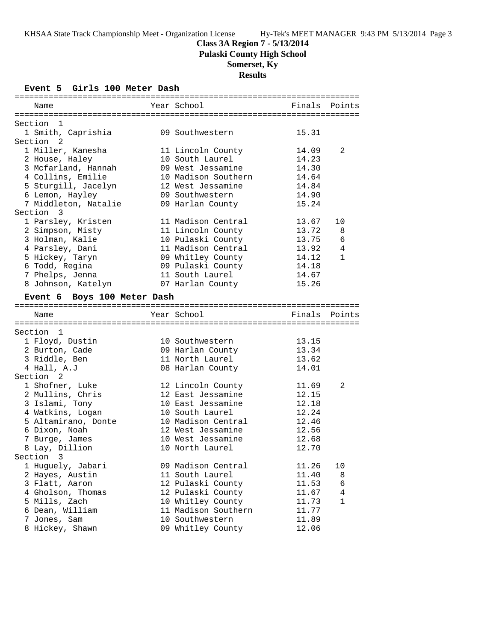# **Class 3A Region 7 - 5/13/2014**

**Pulaski County High School**

# **Somerset, Ky**

**Results**

# **Event 5 Girls 100 Meter Dash**

| Name                        | Year School         | Finals        | Points       |
|-----------------------------|---------------------|---------------|--------------|
| Section 1                   |                     |               |              |
| 1 Smith, Caprishia          | 09 Southwestern     | 15.31         |              |
| Section <sub>2</sub>        |                     |               |              |
| 1 Miller, Kanesha           | 11 Lincoln County   | 14.09         | 2            |
| 2 House, Haley              | 10 South Laurel     | 14.23         |              |
| 3 Mcfarland, Hannah         | 09 West Jessamine   | 14.30         |              |
| 4 Collins, Emilie           | 10 Madison Southern | 14.64         |              |
| 5 Sturgill, Jacelyn         | 12 West Jessamine   | 14.84         |              |
| 6 Lemon, Hayley             | 09 Southwestern     | 14.90         |              |
| 7 Middleton, Natalie        | 09 Harlan County    | 15.24         |              |
| Section 3                   |                     |               |              |
| 1 Parsley, Kristen          | 11 Madison Central  | 13.67         | 10           |
| 2 Simpson, Misty            | 11 Lincoln County   | 13.72         | 8            |
| 3 Holman, Kalie             | 10 Pulaski County   | 13.75         | 6            |
| 4 Parsley, Dani             | 11 Madison Central  | 13.92         | 4            |
| 5 Hickey, Taryn             | 09 Whitley County   | 14.12         | $\mathbf{1}$ |
| 6 Todd, Regina              | 09 Pulaski County   | 14.18         |              |
| 7 Phelps, Jenna             | 11 South Laurel     | 14.67         |              |
| 8 Johnson, Katelyn          | 07 Harlan County    | 15.26         |              |
| Event 6 Boys 100 Meter Dash |                     |               |              |
|                             |                     |               |              |
| Name                        | Year School         | Finals Points |              |
| Section 1                   |                     |               |              |
| 1 Floyd, Dustin             | 10 Southwestern     | 13.15         |              |
| 2 Burton, Cade              | 09 Harlan County    | 13.34         |              |
| 3 Riddle, Ben               | 11 North Laurel     | 13.62         |              |
| 4 Hall, A.J                 | 08 Harlan County    | 14.01         |              |
| Section <sub>2</sub>        |                     |               |              |
| 1 Shofner, Luke             | 12 Lincoln County   | 11.69         | 2            |
| 2 Mullins, Chris            | 12 East Jessamine   | 12.15         |              |
| 3 Islami, Tony              | 10 East Jessamine   | 12.18         |              |
| 4 Watkins, Logan            | 10 South Laurel     | 12.24         |              |
| 5 Altamirano, Donte         | 10 Madison Central  | 12.46         |              |
| 6 Dixon, Noah               | 12 West Jessamine   | 12.56         |              |
| 7 Burge, James              | 10 West Jessamine   | 12.68         |              |
| 8 Lay, Dillion              | 10 North Laurel     | 12.70         |              |
| Section 3                   |                     |               |              |
| 1 Huguely, Jabari           | 09 Madison Central  | 11.26         | 10           |
| 2 Hayes, Austin             | 11 South Laurel     | 11.40         | 8            |
| 3 Flatt, Aaron              | 12 Pulaski County   | 11.53         | 6            |
| 4 Gholson, Thomas           | 12 Pulaski County   | 11.67         | 4            |
| 5 Mills, Zach               | 10 Whitley County   | 11.73         | 1            |
| 6 Dean, William             | 11 Madison Southern | 11.77         |              |
| 7 Jones, Sam                | 10 Southwestern     | 11.89         |              |
| 8 Hickey, Shawn             | 09 Whitley County   | 12.06         |              |
|                             |                     |               |              |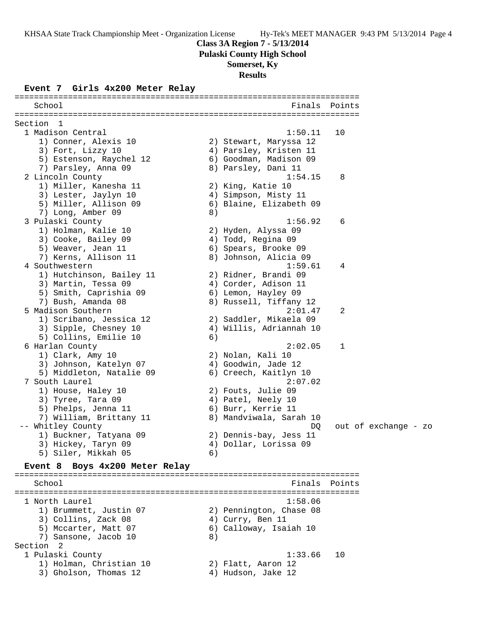**Pulaski County High School**

# **Somerset, Ky**

**Results**

## **Event 7 Girls 4x200 Meter Relay**

| School                              |    | Finals                  | Points        |                      |  |
|-------------------------------------|----|-------------------------|---------------|----------------------|--|
|                                     |    |                         |               |                      |  |
| Section<br>- 1<br>1 Madison Central |    | 1:50.11                 | 10            |                      |  |
| 1) Conner, Alexis 10                |    | 2) Stewart, Maryssa 12  |               |                      |  |
| 3) Fort, Lizzy 10                   |    | 4) Parsley, Kristen 11  |               |                      |  |
| 5) Estenson, Raychel 12             |    | 6) Goodman, Madison 09  |               |                      |  |
| 7) Parsley, Anna 09                 |    | 8) Parsley, Dani 11     |               |                      |  |
| 2 Lincoln County                    |    | 1:54.15                 | 8             |                      |  |
| 1) Miller, Kanesha 11               |    | 2) King, Katie 10       |               |                      |  |
| 3) Lester, Jaylyn 10                |    | 4) Simpson, Misty 11    |               |                      |  |
| 5) Miller, Allison 09               |    | 6) Blaine, Elizabeth 09 |               |                      |  |
| 7) Long, Amber 09                   | 8) |                         |               |                      |  |
| 3 Pulaski County                    |    | 1:56.92                 | 6             |                      |  |
| 1) Holman, Kalie 10                 |    | 2) Hyden, Alyssa 09     |               |                      |  |
| 3) Cooke, Bailey 09                 |    | 4) Todd, Regina 09      |               |                      |  |
| 5) Weaver, Jean 11                  |    | 6) Spears, Brooke 09    |               |                      |  |
| 7) Kerns, Allison 11                |    | 8) Johnson, Alicia 09   |               |                      |  |
| 4 Southwestern                      |    | 1:59.61                 | 4             |                      |  |
| 1) Hutchinson, Bailey 11            |    | 2) Ridner, Brandi 09    |               |                      |  |
| 3) Martin, Tessa 09                 |    | 4) Corder, Adison 11    |               |                      |  |
| 5) Smith, Caprishia 09              |    | 6) Lemon, Hayley 09     |               |                      |  |
| 7) Bush, Amanda 08                  |    | 8) Russell, Tiffany 12  |               |                      |  |
| 5 Madison Southern                  |    | 2:01.47                 | 2             |                      |  |
| 1) Scribano, Jessica 12             |    | 2) Saddler, Mikaela 09  |               |                      |  |
| 3) Sipple, Chesney 10               |    | 4) Willis, Adriannah 10 |               |                      |  |
| 5) Collins, Emilie 10               | 6) |                         |               |                      |  |
| 6 Harlan County                     |    | 2:02.05                 | 1             |                      |  |
| 1) Clark, Amy 10                    |    | 2) Nolan, Kali 10       |               |                      |  |
| 3) Johnson, Katelyn 07              |    | 4) Goodwin, Jade 12     |               |                      |  |
| 5) Middleton, Natalie 09            |    | 6) Creech, Kaitlyn 10   |               |                      |  |
| 7 South Laurel                      |    | 2:07.02                 |               |                      |  |
| 1) House, Haley 10                  |    | 2) Fouts, Julie 09      |               |                      |  |
| 3) Tyree, Tara 09                   |    | 4) Patel, Neely 10      |               |                      |  |
| 5) Phelps, Jenna 11                 |    | 6) Burr, Kerrie 11      |               |                      |  |
| 7) William, Brittany 11             |    | 8) Mandviwala, Sarah 10 |               |                      |  |
| -- Whitley County                   |    | DQ                      |               | out of exchange - zo |  |
| 1) Buckner, Tatyana 09              |    | 2) Dennis-bay, Jess 11  |               |                      |  |
| 3) Hickey, Taryn 09                 |    | 4) Dollar, Lorissa 09   |               |                      |  |
| 5) Siler, Mikkah 05                 | 6) |                         |               |                      |  |
|                                     |    |                         |               |                      |  |
| Event 8 Boys 4x200 Meter Relay      |    |                         |               |                      |  |
| School                              |    |                         | Finals Points |                      |  |
|                                     |    |                         |               |                      |  |
| 1 North Laurel                      |    | 1:58.06                 |               |                      |  |
| 1) Brummett, Justin 07              |    | 2) Pennington, Chase 08 |               |                      |  |
| 3) Collins, Zack 08                 |    | 4) Curry, Ben 11        |               |                      |  |
| 5) Mccarter, Matt 07                |    | 6) Calloway, Isaiah 10  |               |                      |  |
| 7) Sansone, Jacob 10                | 8) |                         |               |                      |  |
| Section 2                           |    |                         |               |                      |  |
| 1 Pulaski County                    |    | 1:33.66                 | 10            |                      |  |
| 1) Holman, Christian 10             |    | 2) Flatt, Aaron 12      |               |                      |  |
| 3) Gholson, Thomas 12               |    | 4) Hudson, Jake 12      |               |                      |  |
|                                     |    |                         |               |                      |  |
|                                     |    |                         |               |                      |  |

=======================================================================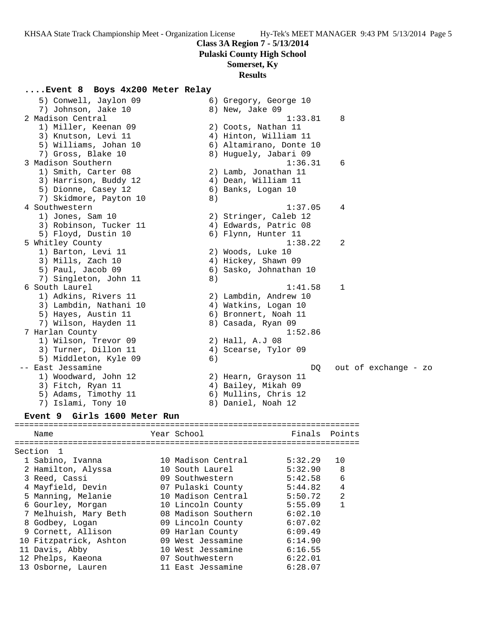**Pulaski County High School**

### **Somerset, Ky**

#### **Results**

**....Event 8 Boys 4x200 Meter Relay** 5) Conwell, Jaylon 09 6) Gregory, George 10 7) Johnson, Jake 10 8) New, Jake 09 2 Madison Central 2 (1:33.81 8) 1) Miller, Keenan 09 2) Coots, Nathan 11 3) Knutson, Levi 11 4) Hinton, William 11 5) Williams, Johan 10 6) Altamirano, Donte 10 7) Gross, Blake 10 8) Huguely, Jabari 09 3 Madison Southern 1:36.31 6 1) Smith, Carter 08 2) Lamb, Jonathan 11 3) Harrison, Buddy 12 4) Dean, William 11 5) Dionne, Casey 12 (6) Banks, Logan 10 7) Skidmore, Payton 10 8) 4 Southwestern 1:37.05 4 1) Jones, Sam 10 2) Stringer, Caleb 12 3) Robinson, Tucker 11 (4) Edwards, Patric 08 5) Floyd, Dustin 10 6) Flynn, Hunter 11 5 Whitley County 1:38.22 2 1) Barton, Levi 11 2) Woods, Luke 10 3) Mills, Zach 10 4) Hickey, Shawn 09 5) Paul, Jacob 09 6) Sasko, Johnathan 10 7) Singleton, John 11 8) 6 South Laurel 1:41.58 1 1) Adkins, Rivers 11 2) Lambdin, Andrew 10 3) Lambdin, Nathani 10  $\hspace{1cm}$  4) Watkins, Logan 10 5) Hayes, Austin 11 6) Bronnert, Noah 11 7) Wilson, Hayden 11  $\hskip1cm 8$ ) Casada, Ryan 09 7 Harlan County 1:52.86 1) Wilson, Trevor 09 2) Hall, A.J 08 3) Turner, Dillon 11 (4) Scearse, Tylor 09 5) Middleton, Kyle 09 6) -- East Jessamine DQ out of exchange - zo 1) Woodward, John 12 2) Hearn, Grayson 11 3) Fitch, Ryan 11 (4) Bailey, Mikah 09 5) Adams, Timothy 11 (6) Mullins, Chris 12 7) Islami, Tony 10 8) Daniel, Noah 12 **Event 9 Girls 1600 Meter Run** ======================================================================= Name Year School Finals Points

| Section 1              |                     |         |                |
|------------------------|---------------------|---------|----------------|
| 1 Sabino, Ivanna       | 10 Madison Central  | 5:32.29 | 10             |
| 2 Hamilton, Alyssa     | 10 South Laurel     | 5:32.90 | 8              |
| 3 Reed, Cassi          | 09 Southwestern     | 5:42.58 | 6              |
| 4 Mayfield, Devin      | 07 Pulaski County   | 5:44.82 | $\overline{4}$ |
| 5 Manning, Melanie     | 10 Madison Central  | 5:50.72 | $\overline{2}$ |
| 6 Gourley, Morgan      | 10 Lincoln County   | 5:55.09 | 1              |
| 7 Melhuish, Mary Beth  | 08 Madison Southern | 6:02.10 |                |
| 8 Godbey, Logan        | 09 Lincoln County   | 6:07.02 |                |
| 9 Cornett, Allison     | 09 Harlan County    | 6:09.49 |                |
| 10 Fitzpatrick, Ashton | 09 West Jessamine   | 6:14.90 |                |
| 11 Davis, Abby         | 10 West Jessamine   | 6:16.55 |                |
| 12 Phelps, Kaeona      | 07 Southwestern     | 6:22.01 |                |
| 13 Osborne, Lauren     | 11 East Jessamine   | 6:28.07 |                |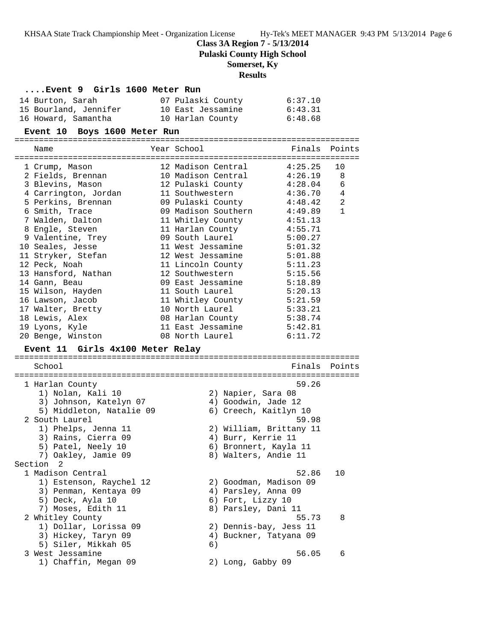**Class 3A Region 7 - 5/13/2014**

**Pulaski County High School**

# **Somerset, Ky**

# **Results**

| Event 9 Girls 1600 Meter Run |
|------------------------------|
|------------------------------|

| 14 Burton, Sarah      | 07 Pulaski County | 6:37.10 |
|-----------------------|-------------------|---------|
| 15 Bourland, Jennifer | 10 East Jessamine | 6:43.31 |
| 16 Howard, Samantha   | 10 Harlan County  | 6:48.68 |

## **Event 10 Boys 1600 Meter Run**

=======================================================================

| Name<br>===============================    | Year School                              |                                             | Finals             | Points |
|--------------------------------------------|------------------------------------------|---------------------------------------------|--------------------|--------|
| 1 Crump, Mason                             | 12 Madison Central                       |                                             | 4:25.25            | 10     |
| 2 Fields, Brennan                          | 10 Madison Central                       |                                             | 4:26.19            | 8      |
| 3 Blevins, Mason                           | 12 Pulaski County                        |                                             | 4:28.04            | 6      |
| 4 Carrington, Jordan                       | 11 Southwestern                          |                                             | 4:36.70<br>4:48.42 | 4<br>2 |
| 5 Perkins, Brennan<br>6 Smith, Trace       | 09 Pulaski County<br>09 Madison Southern |                                             | 4:49.89            | 1      |
| 7 Walden, Dalton                           | 11 Whitley County                        |                                             | 4:51.13            |        |
| 8 Engle, Steven                            | 11 Harlan County                         |                                             | 4:55.71            |        |
| 9 Valentine, Trey                          | 09 South Laurel                          |                                             | 5:00.27            |        |
| 10 Seales, Jesse                           | 11 West Jessamine                        |                                             | 5:01.32            |        |
| 11 Stryker, Stefan                         | 12 West Jessamine                        |                                             | 5:01.88            |        |
| 12 Peck, Noah                              | 11 Lincoln County                        |                                             | 5:11.23            |        |
| 13 Hansford, Nathan                        | 12 Southwestern                          |                                             | 5:15.56            |        |
| 14 Gann, Beau                              | 09 East Jessamine                        |                                             | 5:18.89            |        |
| 15 Wilson, Hayden                          | 11 South Laurel                          |                                             | 5:20.13            |        |
| 16 Lawson, Jacob                           | 11 Whitley County                        |                                             | 5:21.59            |        |
| 17 Walter, Bretty                          | 10 North Laurel                          |                                             | 5:33.21            |        |
| 18 Lewis, Alex                             | 08 Harlan County                         |                                             | 5:38.74            |        |
| 19 Lyons, Kyle                             | 11 East Jessamine                        |                                             | 5:42.81            |        |
| 20 Benge, Winston                          | 08 North Laurel                          |                                             | 6:11.72            |        |
| Event 11 Girls 4x100 Meter Relay           |                                          |                                             |                    |        |
|                                            |                                          |                                             |                    |        |
|                                            |                                          |                                             |                    |        |
| School                                     |                                          |                                             | Finals             | Points |
|                                            |                                          |                                             |                    |        |
| 1 Harlan County                            |                                          |                                             | 59.26              |        |
| 1) Nolan, Kali 10                          |                                          | 2) Napier, Sara 08                          |                    |        |
| 3) Johnson, Katelyn 07                     |                                          | 4) Goodwin, Jade 12                         |                    |        |
| 5) Middleton, Natalie 09<br>2 South Laurel |                                          | 6) Creech, Kaitlyn 10                       | 59.98              |        |
|                                            |                                          |                                             |                    |        |
| 1) Phelps, Jenna 11                        |                                          | 2) William, Brittany 11                     |                    |        |
| 3) Rains, Cierra 09<br>5) Patel, Neely 10  |                                          | 4) Burr, Kerrie 11<br>6) Bronnert, Kayla 11 |                    |        |
| 7) Oakley, Jamie 09                        |                                          | 8) Walters, Andie 11                        |                    |        |
| Section <sub>2</sub>                       |                                          |                                             |                    |        |
| 1 Madison Central                          |                                          |                                             | 52.86              | 10     |
| 1) Estenson, Raychel 12                    |                                          | 2) Goodman, Madison 09                      |                    |        |
| 3) Penman, Kentaya 09                      |                                          | 4) Parsley, Anna 09                         |                    |        |
| 5) Deck, Ayla 10                           |                                          | 6) Fort, Lizzy 10                           |                    |        |
| 7) Moses, Edith 11                         |                                          | 8) Parsley, Dani 11                         |                    |        |
| 2 Whitley County                           |                                          |                                             | 55.73              | 8      |
| 1) Dollar, Lorissa 09                      |                                          | 2) Dennis-bay, Jess 11                      |                    |        |
| 3) Hickey, Taryn 09                        |                                          | 4) Buckner, Tatyana 09                      |                    |        |
| 5) Siler, Mikkah 05                        | 6)                                       |                                             |                    |        |
| 3 West Jessamine                           |                                          |                                             | 56.05              | 6      |
| 1) Chaffin, Megan 09                       |                                          | 2) Long, Gabby 09                           |                    |        |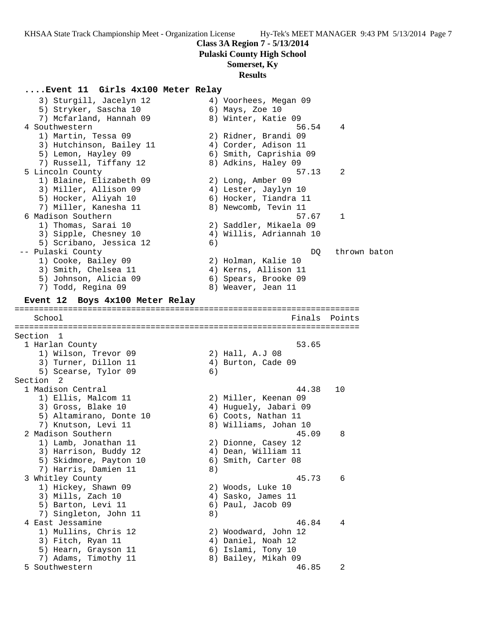**Class 3A Region 7 - 5/13/2014**

**Pulaski County High School**

# **Somerset, Ky**

## **Results**

**....Event 11 Girls 4x100 Meter Relay**

 3) Sturgill, Jacelyn 12 4) Voorhees, Megan 09 5) Stryker, Sascha 10 (6) Mays, Zoe 10 7) Mcfarland, Hannah 09 8) Winter, Katie 09 4 Southwestern 56.54 4 1) Martin, Tessa 09 2) Ridner, Brandi 09 3) Hutchinson, Bailey 11 (4) Corder, Adison 11 5) Lemon, Hayley 09 6) Smith, Caprishia 09 7) Russell, Tiffany 12 8) Adkins, Haley 09 5 Lincoln County 57.13 2 1) Blaine, Elizabeth 09 2) Long, Amber 09 3) Miller, Allison 09 (4) Lester, Jaylyn 10 5) Hocker, Aliyah 10 6) Hocker, Tiandra 11 7) Miller, Kanesha 11 8) Newcomb, Tevin 11 6 Madison Southern 57.67 1 1) Thomas, Sarai 10 2) Saddler, Mikaela 09 3) Sipple, Chesney 10 4) Willis, Adriannah 10 5) Scribano, Jessica 12 6) -- Pulaski County and the set of the set of the DQ thrown baton 1) Cooke, Bailey 09 2) Holman, Kalie 10 3) Smith, Chelsea 11 (4) Kerns, Allison 11 5) Johnson, Alicia 09 (6) Spears, Brooke 09 7) Todd, Regina 09 8) Weaver, Jean 11 **Event 12 Boys 4x100 Meter Relay** ======================================================================= School Finals Points ======================================================================= Section 1<br>1 Harlan County 1 Harlan County 53.65 1) Wilson, Trevor 09 2) Hall, A.J 08 3) Turner, Dillon 11 (4) Burton, Cade 09 5) Scearse, Tylor 09 (6) Section 2 1 Madison Central 44.38 10 1) Ellis, Malcom 11 2) Miller, Keenan 09 3) Gross, Blake 10 4) Huguely, Jabari 09 5) Altamirano, Donte 10 (6) Coots, Nathan 11 7) Knutson, Levi 11 8) Williams, Johan 10 2 Madison Southern 45.09 8 1) Lamb, Jonathan 11 2) Dionne, Casey 12 3) Harrison, Buddy 12 4) Dean, William 11 5) Skidmore, Payton 10 6) Smith, Carter 08 7) Harris, Damien 11 and 8) 3 Whitley County 45.73 6 1) Hickey, Shawn 09 2) Woods, Luke 10 3) Mills, Zach 10 (4) Sasko, James 11 5) Barton, Levi 11 6) Paul, Jacob 09 7) Singleton, John 11 8) 4 East Jessamine 46.84 4 1) Mullins, Chris 12 2) Woodward, John 12 3) Fitch, Ryan 11  $\qquad \qquad \qquad$  4) Daniel, Noah 12 5) Hearn, Grayson 11 6) Islami, Tony 10 7) Adams, Timothy 11 and 8) Bailey, Mikah 09 5 Southwestern 46.85 2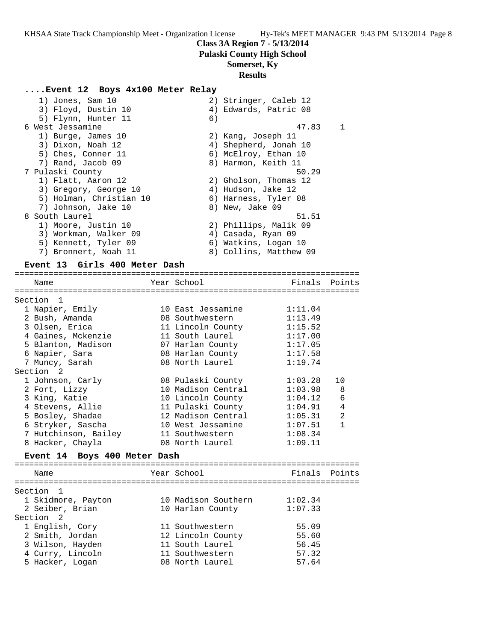## **Class 3A Region 7 - 5/13/2014**

**Pulaski County High School**

### **Somerset, Ky**

### **Results**

### **....Event 12 Boys 4x100 Meter Relay**

| 1) Jones, Sam 10        |    | 2) Stringer, Caleb 12  |    |
|-------------------------|----|------------------------|----|
| 3) Floyd, Dustin 10     |    | 4) Edwards, Patric 08  |    |
| 5) Flynn, Hunter 11     | 6) |                        |    |
| 6 West Jessamine        |    | 47.83                  | -1 |
| 1) Burge, James 10      |    | 2) Kang, Joseph 11     |    |
| 3) Dixon, Noah 12       |    | 4) Shepherd, Jonah 10  |    |
| 5) Ches, Conner 11      |    | 6) McElroy, Ethan 10   |    |
| 7) Rand, Jacob 09       |    | 8) Harmon, Keith 11    |    |
| 7 Pulaski County        |    | 50.29                  |    |
| 1) Flatt, Aaron 12      |    | 2) Gholson, Thomas 12  |    |
| 3) Gregory, George 10   |    | 4) Hudson, Jake 12     |    |
| 5) Holman, Christian 10 |    | 6) Harness, Tyler 08   |    |
| 7) Johnson, Jake 10     |    | 8) New, Jake 09        |    |
| 8 South Laurel          |    | 51.51                  |    |
| 1) Moore, Justin 10     |    | 2) Phillips, Malik 09  |    |
| 3) Workman, Walker 09   |    | 4) Casada, Ryan 09     |    |
| 5) Kennett, Tyler 09    |    | 6) Watkins, Logan 10   |    |
| 7) Bronnert, Noah 11    |    | 8) Collins, Matthew 09 |    |
|                         |    |                        |    |

#### **Event 13 Girls 400 Meter Dash**

======================================================================= Year School **Finals** Points ======================================================================= Section 1 1 Napier, Emily 10 East Jessamine 1:11.04 2 Bush, Amanda 08 Southwestern 1:13.49 3 Olsen, Erica 11 Lincoln County 1:15.52 4 Gaines, Mckenzie 11 South Laurel 1:17.00 5 Blanton, Madison 07 Harlan County 1:17.05 6 Napier, Sara 08 Harlan County 1:17.58 7 Muncy, Sarah 08 North Laurel 1:19.74 Section 2 1 Johnson, Carly 08 Pulaski County 1:03.28 10 2 Fort, Lizzy 10 Madison Central 1:03.98 8 3 King, Katie 10 Lincoln County 1:04.12 6 4 Stevens, Allie 11 Pulaski County 1:04.91 4 5 Bosley, Shadae 12 Madison Central 1:05.31 2 6 Stryker, Sascha 10 West Jessamine 1:07.51 1 7 Hutchinson, Bailey 11 Southwestern 1:08.34 8 Hacker, Chayla 08 North Laurel 1:09.11 **Event 14 Boys 400 Meter Dash** ======================================================================= Name The Year School The Finals Points ======================================================================= Section 1 1 Skidmore, Payton 10 Madison Southern 1:02.34 2 Seiber, Brian 10 Harlan County 1:07.33

| Section 2        |                   |       |
|------------------|-------------------|-------|
| 1 English, Cory  | 11 Southwestern   | 55.09 |
| 2 Smith, Jordan  | 12 Lincoln County | 55.60 |
| 3 Wilson, Hayden | 11 South Laurel   | 56.45 |
| 4 Curry, Lincoln | 11 Southwestern   | 57.32 |
| 5 Hacker, Logan  | 08 North Laurel   | 57.64 |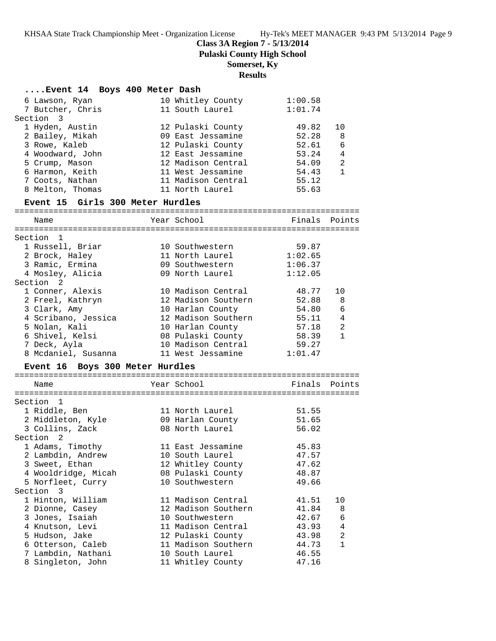**Class 3A Region 7 - 5/13/2014**

**Pulaski County High School**

# **Somerset, Ky**

# **Results**

| Event 14 Boys 400 Meter Dash     |             |                                     |                |                |
|----------------------------------|-------------|-------------------------------------|----------------|----------------|
| 6 Lawson, Ryan                   |             | 10 Whitley County                   | 1:00.58        |                |
| 7 Butcher, Chris                 |             | 11 South Laurel                     | 1:01.74        |                |
| Section 3                        |             |                                     |                |                |
| 1 Hyden, Austin                  |             | 12 Pulaski County                   | 49.82          | 10             |
| 2 Bailey, Mikah                  |             | 09 East Jessamine                   | 52.28          | -8             |
| 3 Rowe, Kaleb                    |             | 12 Pulaski County                   | 52.61          | 6              |
| 4 Woodward, John                 |             | 12 East Jessamine                   | 53.24          | $\overline{4}$ |
| 5 Crump, Mason                   |             | 12 Madison Central                  | 54.09          | 2              |
| 6 Harmon, Keith                  |             | 11 West Jessamine                   | 54.43          | $\mathbf{1}$   |
| 7 Coots, Nathan                  |             | 11 Madison Central                  | 55.12          |                |
| 8 Melton, Thomas                 |             | 11 North Laurel                     | 55.63          |                |
| Event 15 Girls 300 Meter Hurdles |             |                                     |                |                |
| Name                             |             | Year School                         | Finals Points  |                |
| Section 1                        |             |                                     |                |                |
| 1 Russell, Briar                 |             | 10 Southwestern                     | 59.87          |                |
| 2 Brock, Haley                   |             | 11 North Laurel                     | 1:02.65        |                |
| 3 Ramic, Ermina                  |             | 09 Southwestern                     | 1:06.37        |                |
| 4 Mosley, Alicia                 |             | 09 North Laurel                     | 1:12.05        |                |
| Section <sub>2</sub>             |             |                                     |                |                |
| 1 Conner, Alexis                 |             | 10 Madison Central                  | 48.77          | 10             |
| 2 Freel, Kathryn                 |             | 12 Madison Southern                 | 52.88          | 8              |
| 3 Clark, Amy                     |             | 10 Harlan County                    | 54.80          | 6              |
| 4 Scribano, Jessica              |             | 12 Madison Southern                 | 55.11          | 4              |
| 5 Nolan, Kali                    |             | 10 Harlan County 57.18              |                | 2              |
| 6 Shivel, Kelsi                  |             | 08 Pulaski County                   | 58.39          | $\mathbf{1}$   |
| 7 Deck, Ayla                     |             | 10 Madison Central                  | 59.27          |                |
| 8 Mcdaniel, Susanna              |             | 11 West Jessamine                   | 1:01.47        |                |
| Event 16 Boys 300 Meter Hurdles  |             |                                     |                |                |
| Name                             | Year School |                                     | Finals         | Points         |
|                                  |             |                                     |                |                |
| Section 1                        |             |                                     |                |                |
| 1 Riddle, Ben                    |             | 11 North Laurel                     | 51.55          |                |
| 2 Middleton, Kyle                |             | 09 Harlan County<br>08 North Laurel | 51.65<br>56.02 |                |
| 3 Collins, Zack                  |             |                                     |                |                |
| Section 2<br>1 Adams, Timothy    |             | 11 East Jessamine                   | 45.83          |                |
| 2 Lambdin, Andrew                |             | 10 South Laurel                     | 47.57          |                |
| 3 Sweet, Ethan                   |             | 12 Whitley County                   | 47.62          |                |
| 4 Wooldridge, Micah              |             | 08 Pulaski County                   | 48.87          |                |
| 5 Norfleet, Curry                |             | 10 Southwestern                     | 49.66          |                |
| Section 3                        |             |                                     |                |                |
| 1 Hinton, William                |             | 11 Madison Central                  | 41.51          | 10             |
| 2 Dionne, Casey                  |             | 12 Madison Southern                 | 41.84          | 8              |
| 3 Jones, Isaiah                  |             | 10 Southwestern                     | 42.67          | 6              |
| 4 Knutson, Levi                  |             | 11 Madison Central                  | 43.93          | 4              |
| 5 Hudson, Jake                   |             | 12 Pulaski County                   | 43.98          | $\overline{a}$ |
| 6 Otterson, Caleb                |             | 11 Madison Southern                 | 44.73          | 1              |
| 7 Lambdin, Nathani               |             | 10 South Laurel                     | 46.55          |                |
| 8 Singleton, John                |             | 11 Whitley County                   | 47.16          |                |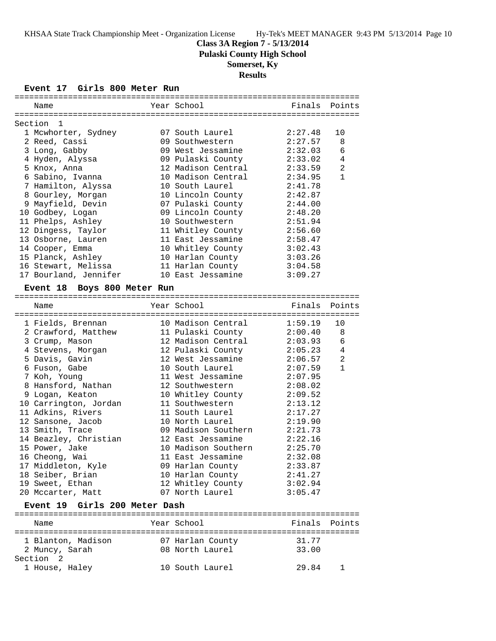**Pulaski County High School**

# **Somerset, Ky**

# **Results**

# **Event 17 Girls 800 Meter Run**

| Name                          | Year School         | Finals  | Points         |
|-------------------------------|---------------------|---------|----------------|
|                               |                     |         |                |
| Section 1                     |                     |         |                |
| 1 Mcwhorter, Sydney           | 07 South Laurel     | 2:27.48 | 10             |
| 2 Reed, Cassi                 | 09 Southwestern     | 2:27.57 | 8              |
| 3 Long, Gabby                 | 09 West Jessamine   | 2:32.03 | 6              |
| 4 Hyden, Alyssa               | 09 Pulaski County   | 2:33.02 | 4              |
| 5 Knox, Anna                  | 12 Madison Central  | 2:33.59 | $\overline{a}$ |
| 6 Sabino, Ivanna              | 10 Madison Central  | 2:34.95 | $\mathbf{1}$   |
| 7 Hamilton, Alyssa            | 10 South Laurel     | 2:41.78 |                |
| 8 Gourley, Morgan             | 10 Lincoln County   | 2:42.87 |                |
| 9 Mayfield, Devin             | 07 Pulaski County   | 2:44.00 |                |
| 10 Godbey, Logan              | 09 Lincoln County   | 2:48.20 |                |
| 11 Phelps, Ashley             | 10 Southwestern     | 2:51.94 |                |
|                               |                     |         |                |
| 12 Dingess, Taylor            | 11 Whitley County   | 2:56.60 |                |
| 13 Osborne, Lauren            | 11 East Jessamine   | 2:58.47 |                |
| 14 Cooper, Emma               | 10 Whitley County   | 3:02.43 |                |
| 15 Planck, Ashley             | 10 Harlan County    | 3:03.26 |                |
| 16 Stewart, Melissa           | 11 Harlan County    | 3:04.58 |                |
| 17 Bourland, Jennifer         | 10 East Jessamine   | 3:09.27 |                |
| Event 18 Boys 800 Meter Run   |                     |         |                |
|                               |                     |         |                |
| Name                          | Year School         | Finals  | Points         |
| 1 Fields, Brennan             | 10 Madison Central  | 1:59.19 | 10             |
| 2 Crawford, Matthew           | 11 Pulaski County   | 2:00.40 | 8              |
| 3 Crump, Mason                | 12 Madison Central  | 2:03.93 | 6              |
| 4 Stevens, Morgan             | 12 Pulaski County   | 2:05.23 | 4              |
| 5 Davis, Gavin                | 12 West Jessamine   | 2:06.57 | 2              |
| 6 Fuson, Gabe                 | 10 South Laurel     | 2:07.59 | $\mathbf{1}$   |
|                               | 11 West Jessamine   | 2:07.95 |                |
| 7 Koh, Young                  |                     |         |                |
| 8 Hansford, Nathan            | 12 Southwestern     | 2:08.02 |                |
| 9 Logan, Keaton               | 10 Whitley County   | 2:09.52 |                |
| 10 Carrington, Jordan         | 11 Southwestern     | 2:13.12 |                |
| 11 Adkins, Rivers             | 11 South Laurel     | 2:17.27 |                |
| 12 Sansone, Jacob             | 10 North Laurel     | 2:19.90 |                |
| 13 Smith, Trace               | 09 Madison Southern | 2:21.73 |                |
| 14 Beazley, Christian         | 12 East Jessamine   | 2:22.16 |                |
| 15 Power, Jake                | 10 Madison Southern | 2:25.70 |                |
| 16 Cheong, Wai                | 11 East Jessamine   | 2:32.08 |                |
| 17 Middleton, Kyle            | 09 Harlan County    | 2:33.87 |                |
| 18 Seiber, Brian              | 10 Harlan County    | 2:41.27 |                |
| 19 Sweet, Ethan               | 12 Whitley County   | 3:02.94 |                |
| 20 Mccarter, Matt             | 07 North Laurel     | 3:05.47 |                |
| Event 19 Girls 200 Meter Dash |                     |         |                |
|                               |                     |         |                |
| Name                          | Year School         | Finals  | Points         |
| 1 Blanton, Madison            | 07 Harlan County    | 31.77   |                |
| 2 Muncy, Sarah                | 08 North Laurel     | 33.00   |                |
| Section <sub>2</sub>          |                     |         |                |
| 1 House, Haley                | 10 South Laurel     | 29.84   | 1              |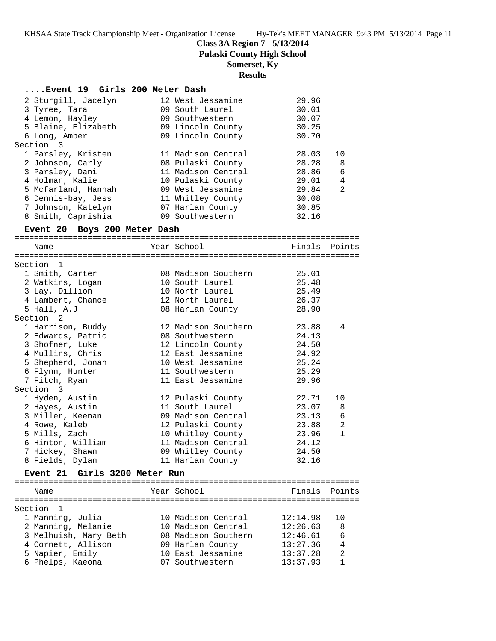**Class 3A Region 7 - 5/13/2014**

**Pulaski County High School**

**Somerset, Ky**

# **Results**

### **....Event 19 Girls 200 Meter Dash**

|           | 2 Sturgill, Jacelyn |  | 12 West Jessamine  | 29.96 |    |
|-----------|---------------------|--|--------------------|-------|----|
|           | 3 Tyree, Tara       |  | 09 South Laurel    | 30.01 |    |
|           | 4 Lemon, Hayley     |  | 09 Southwestern    | 30.07 |    |
|           | 5 Blaine, Elizabeth |  | 09 Lincoln County  | 30.25 |    |
|           | 6 Long, Amber       |  | 09 Lincoln County  | 30.70 |    |
| Section 3 |                     |  |                    |       |    |
|           | 1 Parsley, Kristen  |  | 11 Madison Central | 28.03 | 10 |
|           | 2 Johnson, Carly    |  | 08 Pulaski County  | 28.28 | 8  |
|           | 3 Parsley, Dani     |  | 11 Madison Central | 28.86 | 6  |
|           | 4 Holman, Kalie     |  | 10 Pulaski County  | 29.01 | 4  |
|           | 5 Mcfarland, Hannah |  | 09 West Jessamine  | 29.84 | 2  |
|           | 6 Dennis-bay, Jess  |  | 11 Whitley County  | 30.08 |    |
|           | 7 Johnson, Katelyn  |  | 07 Harlan County   | 30.85 |    |
|           | 8 Smith, Caprishia  |  | 09 Southwestern    | 32.16 |    |

# **Event 20 Boys 200 Meter Dash**

=======================================================================

| Name                                            |  | Year School               | Finals Points |                |  |  |
|-------------------------------------------------|--|---------------------------|---------------|----------------|--|--|
| ==================================<br>Section 1 |  |                           |               |                |  |  |
| 1 Smith, Carter                                 |  | 08 Madison Southern 25.01 |               |                |  |  |
| 2 Watkins, Logan                                |  | 10 South Laurel           | 25.48         |                |  |  |
| 3 Lay, Dillion                                  |  | 10 North Laurel           | 25.49         |                |  |  |
| 4 Lambert, Chance                               |  | 12 North Laurel           | 26.37         |                |  |  |
| 5 Hall, A.J                                     |  | 08 Harlan County          | 28.90         |                |  |  |
| Section 2                                       |  |                           |               |                |  |  |
| 1 Harrison, Buddy                               |  | 12 Madison Southern       | 23.88         | 4              |  |  |
| 2 Edwards, Patric                               |  | 08 Southwestern           | 24.13         |                |  |  |
| 3 Shofner, Luke 12 Lincoln County 24.50         |  |                           |               |                |  |  |
| 4 Mullins, Chris                                |  | 12 East Jessamine         | 24.92         |                |  |  |
| 5 Shepherd, Jonah 10 West Jessamine 25.24       |  |                           |               |                |  |  |
| 6 Flynn, Hunter                                 |  | 11 Southwestern           | 25.29         |                |  |  |
| 7 Fitch, Ryan                                   |  | 11 East Jessamine         | 29.96         |                |  |  |
| Section 3                                       |  |                           |               |                |  |  |
| 1 Hyden, Austin                                 |  | 12 Pulaski County         | 22.71         | 10             |  |  |
| 2 Hayes, Austin                                 |  | 11 South Laurel           | 23.07         | 8              |  |  |
|                                                 |  |                           | 23.13         | 6              |  |  |
| 4 Rowe, Kaleb                                   |  | 12 Pulaski County         | 23.88         | $\overline{2}$ |  |  |
| 5 Mills, Zach                                   |  | 10 Whitley County 23.96   |               | $\mathbf{1}$   |  |  |
| 6 Hinton, William                               |  | 11 Madison Central 24.12  |               |                |  |  |
| 7 Hickey, Shawn                                 |  | 09 Whitley County 24.50   |               |                |  |  |
| 8 Fields, Dylan                                 |  | 11 Harlan County          | 32.16         |                |  |  |

### **Event 21 Girls 3200 Meter Run**

======================================================================= Name Year School Finals Points ======================================================================= Section 1 1 Manning, Julia 10 Madison Central 12:14.98 10 2 Manning, Melanie 10 Madison Central 12:26.63 8 3 Melhuish, Mary Beth 08 Madison Southern 12:46.61 6 4 Cornett, Allison 09 Harlan County 13:27.36 4 5 Napier, Emily 10 East Jessamine 13:37.28 2 6 Phelps, Kaeona 07 Southwestern 13:37.93 1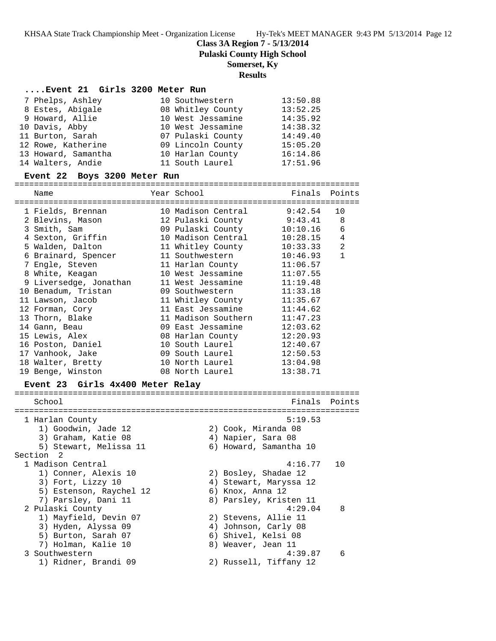**Class 3A Region 7 - 5/13/2014**

**Pulaski County High School**

### **Somerset, Ky**

### **Results**

### **....Event 21 Girls 3200 Meter Run**

| 7 Phelps, Ashley    | 10 Southwestern   | 13:50.88 |
|---------------------|-------------------|----------|
| 8 Estes, Abigale    | 08 Whitley County | 13:52.25 |
| 9 Howard, Allie     | 10 West Jessamine | 14:35.92 |
| 10 Davis, Abby      | 10 West Jessamine | 14:38.32 |
| 11 Burton, Sarah    | 07 Pulaski County | 14:49.40 |
| 12 Rowe, Katherine  | 09 Lincoln County | 15:05.20 |
| 13 Howard, Samantha | 10 Harlan County  | 16:14.86 |
| 14 Walters, Andie   | 11 South Laurel   | 17:51.96 |

#### **Event 22 Boys 3200 Meter Run**

=======================================================================

| Name                   | Year School                 | Finals Points |                |
|------------------------|-----------------------------|---------------|----------------|
| 1 Fields, Brennan      | 10 Madison Central 9:42.54  |               | 10             |
| 2 Blevins, Mason       | 12 Pulaski County 9:43.41 8 |               |                |
| 3 Smith, Sam           | 09 Pulaski County           | 10:10.16      | 6              |
| 4 Sexton, Griffin      | 10 Madison Central          | 10:28.15      | $\overline{4}$ |
| 5 Walden, Dalton       | 11 Whitley County           | 10:33.33      | 2              |
| 6 Brainard, Spencer    | 11 Southwestern             | 10:46.93      | $\mathbf{1}$   |
|                        |                             | 11:06.57      |                |
| 8 White, Keagan        | 10 West Jessamine           | 11:07.55      |                |
| 9 Liversedge, Jonathan | 11 West Jessamine           | 11:19.48      |                |
| 10 Benadum, Tristan    | 09 Southwestern             | 11:33.18      |                |
| 11 Lawson, Jacob       | 11 Whitley County           | 11:35.67      |                |
| 12 Forman, Cory        | 11 East Jessamine           | 11:44.62      |                |
| 13 Thorn, Blake        | 11 Madison Southern         | 11:47.23      |                |
| 14 Gann, Beau          | 09 East Jessamine           | 12:03.62      |                |
| 15 Lewis, Alex         | 08 Harlan County            | 12:20.93      |                |
| 16 Poston, Daniel      | 10 South Laurel             | 12:40.67      |                |
| 17 Vanhook, Jake       | 09 South Laurel             | 12:50.53      |                |
| 18 Walter, Bretty      | 10 North Laurel             | 13:04.98      |                |
| 19 Benge, Winston      | 08 North Laurel             | 13:38.71      |                |

#### **Event 23 Girls 4x400 Meter Relay**

======================================================================= School **Finals Points** ======================================================================= 1 Harlan County 5:19.53 1) Goodwin, Jade 12 2) Cook, Miranda 08 3) Graham, Katie 08 4) Napier, Sara 08 5) Stewart, Melissa 11 6) Howard, Samantha 10 Section 2 1 Madison Central 2022 2023 2024 11:16.77 10 1) Conner, Alexis 10 2) Bosley, Shadae 12 3) Fort, Lizzy 10 4) Stewart, Maryssa 12 5) Estenson, Raychel 12 (6) Knox, Anna 12 7) Parsley, Dani 11 8) Parsley, Kristen 11 2 Pulaski County 4:29.04 8 1) Mayfield, Devin 07 2) Stevens, Allie 11 3) Hyden, Alyssa 09 4) Johnson, Carly 08 5) Burton, Sarah 07 (6) Shivel, Kelsi 08 7) Holman, Kalie 10 8) Weaver, Jean 11 3 Southwestern 4:39.87 6 1) Ridner, Brandi 09 2) Russell, Tiffany 12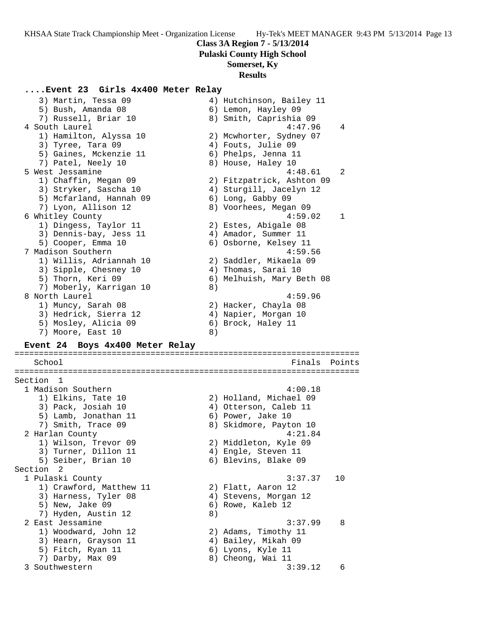**Pulaski County High School**

## **Somerset, Ky**

#### **Results**

## **....Event 23 Girls 4x400 Meter Relay**

3) Martin, Tessa 09 4) Hutchinson, Bailey 11 5) Bush, Amanda 08 6) Lemon, Hayley 09 7) Russell, Briar 10  $\hskip 1.0cm$  8) Smith, Caprishia 09 4 South Laurel 4:47.96 4 1) Hamilton, Alyssa 10 2) Mcwhorter, Sydney 07 3) Tyree, Tara 09 (4) Fouts, Julie 09 5) Gaines, Mckenzie 11 6) Phelps, Jenna 11 7) Patel, Neely 10 8) House, Haley 10 5 West Jessamine 4:48.61 2 1) Chaffin, Megan 09 2) Fitzpatrick, Ashton 09 3) Stryker, Sascha 10 4) Sturgill, Jacelyn 12 5) Mcfarland, Hannah 09 6) Long, Gabby 09 7) Lyon, Allison 12 8) Voorhees, Megan 09 6 Whitley County 4:59.02 1 1) Dingess, Taylor 11 (2) Estes, Abigale 08 3) Dennis-bay, Jess 11  $\qquad \qquad \qquad$  4) Amador, Summer 11 5) Cooper, Emma 10 6) Osborne, Kelsey 11 7 Madison Southern 4:59.56 1) Willis, Adriannah 10 2) Saddler, Mikaela 09 3) Sipple, Chesney 10 (4) Thomas, Sarai 10 5) Thorn, Keri 09 6) Melhuish, Mary Beth 08 7) Moberly, Karrigan 10 8) 8 North Laurel 4:59.96 1) Muncy, Sarah 08 2) Hacker, Chayla 08 3) Hedrick, Sierra 12  $\hskip10mm$  4) Napier, Morgan 10 5) Mosley, Alicia 09 6) Brock, Haley 11 7) Moore, East 10 8) **Event 24 Boys 4x400 Meter Relay** ======================================================================= School **Finals** Points ======================================================================= Section 1 1 Madison Southern 4:00.18 1) Elkins, Tate 10 2) Holland, Michael 09 3) Pack, Josiah 10 4) Otterson, Caleb 11 5) Lamb, Jonathan 11 (6) Power, Jake 10 7) Smith, Trace 09 8) Skidmore, Payton 10 2 Harlan County 4:21.84 1) Wilson, Trevor 09 2) Middleton, Kyle 09 3) Turner, Dillon 11 (4) Engle, Steven 11 5) Seiber, Brian 10 6) Blevins, Blake 09 Section 2<br>1 Pulaski County 1 Pulaski County 3:37.37 10 1) Crawford, Matthew 11 2) Flatt, Aaron 12 3) Harness, Tyler 08 4) Stevens, Morgan 12 5) New, Jake 09 6) Rowe, Kaleb 12 7) Hyden, Austin 12 (8) 2 East Jessamine 3:37.99 8 1) Woodward, John 12 2) Adams, Timothy 11 3) Hearn, Grayson 11 4) Bailey, Mikah 09 5) Fitch, Ryan 11 6) Lyons, Kyle 11 7) Darby, Max 09 8) Cheong, Wai 11 3 Southwestern 3:39.12 6